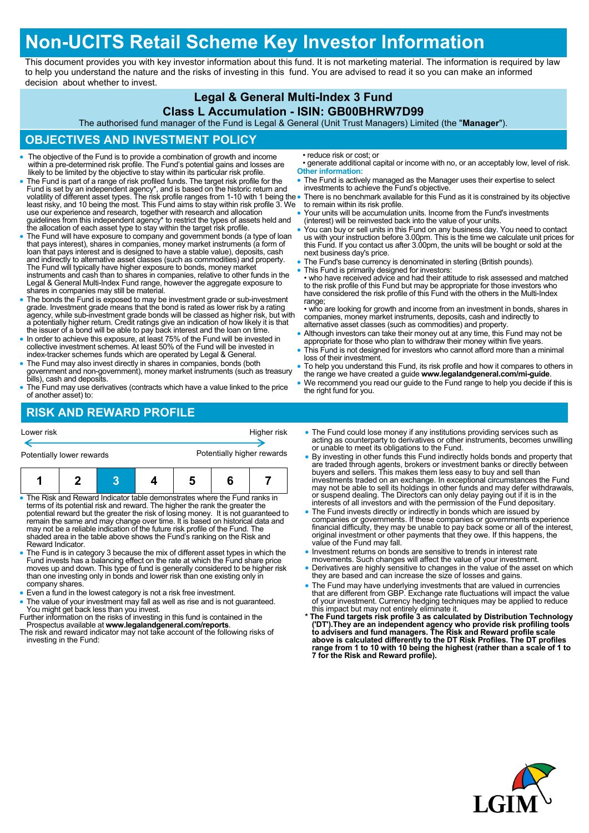# **Non-UCITS Retail Scheme Key Investor Information**

This document provides you with key investor information about this fund. It is not marketing material. The information is required by law to help you understand the nature and the risks of investing in this fund. You are advised to read it so you can make an informed decision about whether to invest.

### **Legal & General Multi-Index 3 Fund**

#### **Class L Accumulation - ISIN: GB00BHRW7D99**

The authorised fund manager of the Fund is Legal & General (Unit Trust Managers) Limited (the "**Manager**").

### **OBJECTIVES AND INVESTMENT POLICY**

- The objective of the Fund is to provide a combination of growth and income within a pre-determined risk profile. The Fund's potential gains and losses are likely to be limited by the objective to stay within its particular risk profile.
- The Fund is part of a range of risk profiled funds. The target risk profile for the Fund is set by an independent agency\*, and is based on the historic return and<br>volatility of different asset types. The risk profile ranges from 1-10 with 1 being the<br>least risky, and 10 being the most. This Fund aims to s use our experience and research, together with research and allocation guidelines from this independent agency\* to restrict the types of assets held and the allocation of each asset type to stay within the target risk profile.
- The Fund will have exposure to company and government bonds (a type of loan that pays interest), shares in companies, money market instruments (a form of loan that pays interest and is designed to have a stable value), deposits, cash and indirectly to alternative asset classes (such as commodities) and property.<br>The Fund will typically have higher exposure to bonds, money market<br>instruments and cash than to shares in companies, relative to other funds Legal & General Multi-Index Fund range, however the aggregate exposure to shares in companies may still be material.
- The bonds the Fund is exposed to may be investment grade or sub-investment grade. Investment grade means that the bond is rated as lower risk by a rating agency, while sub-investment grade bonds will be classed as higher risk, but with a potentially higher return. Credit ratings give an indication of how likely it is that the issuer of a bond will be able to pay back interest and the loan on time.
- In order to achieve this exposure, at least 75% of the Fund will be invested in collective investment schemes. At least 50% of the Fund will be invested in index-tracker schemes funds which are operated by Legal & General.
- The Fund may also invest directly in shares in companies, bonds (both government and non-government), money market instruments (such as treasury bills), cash and deposits.
- The Fund may use derivatives (contracts which have a value linked to the price of another asset) to:

• reduce risk or cost; or

- generate additional capital or income with no, or an acceptably low, level of risk. **Other information:**
- The Fund is actively managed as the Manager uses their expertise to select investments to achieve the Fund's objective.
- There is no benchmark available for this Fund as it is constrained by its objective to remain within its risk profile.
- Your units will be accumulation units. Income from the Fund's investments (interest) will be reinvested back into the value of your units.
- You can buy or sell units in this Fund on any business day. You need to contact us with your instruction before 3.00pm. This is the time we calculate unit prices for this Fund. If you contact us after 3.00pm, the units will be bought or sold at the next business day's price.
- The Fund's base currency is denominated in sterling (British pounds).
- This Fund is primarily designed for investors:

• who have received advice and had their attitude to risk assessed and matched to the risk profile of this Fund but may be appropriate for those investors who have considered the risk profile of this Fund with the others in the Multi-Index range:

• who are looking for growth and income from an investment in bonds, shares in companies, money market instruments, deposits, cash and indirectly to alternative asset classes (such as commodities) and property.

- Although investors can take their money out at any time, this Fund may not be appropriate for those who plan to withdraw their money within five years.
- This Fund is not designed for investors who cannot afford more than a minimal loss of their investment.
- To help you understand this Fund, its risk profile and how it compares to others in the range we have created a guide **www.legalandgeneral.com/mi-guide**.
- We recommend you read our guide to the Fund range to help you decide if this is the right fund for you.

# **RISK AND REWARD PROFILE**

| Lower risk                                                                                                                                                |  |  |  | Higher risk |  |  |  |  |
|-----------------------------------------------------------------------------------------------------------------------------------------------------------|--|--|--|-------------|--|--|--|--|
| Potentially higher rewards<br>Potentially lower rewards                                                                                                   |  |  |  |             |  |  |  |  |
|                                                                                                                                                           |  |  |  | 5           |  |  |  |  |
| • The Risk and Reward Indicator table demonstrates where the Fund ranks in<br>terms of its potential risk and reward. The higher the rank the greater the |  |  |  |             |  |  |  |  |

- potential reward but the greater the risk of losing money. It is not guaranteed to remain the same and may change over time. It is based on historical data and may not be a reliable indication of the future risk profile of the Fund. The shaded area in the table above shows the Fund's ranking on the Risk and Reward Indicator.
- The Fund is in category 3 because the mix of different asset types in which the Fund invests has a balancing effect on the rate at which the Fund share price moves up and down. This type of fund is generally considered to be higher risk than one investing only in bonds and lower risk than one existing only in company shares.
- Even a fund in the lowest category is not a risk free investment.
- The value of your investment may fall as well as rise and is not guaranteed. You might get back less than you invest.
- Further information on the risks of investing in this fund is contained in the Prospectus available at **www.legalandgeneral.com/reports**.
- The risk and reward indicator may not take account of the following risks of investing in the Fund:
- The Fund could lose money if any institutions providing services such as acting as counterparty to derivatives or other instruments, becomes unwilling or unable to meet its obligations to the Fund.
- By investing in other funds this Fund indirectly holds bonds and property that are traded through agents, brokers or investment banks or directly between buyers and sellers. This makes them less easy to buy and sell than investments traded on an exchange. In exceptional circumstances the Fund may not be able to sell its holdings in other funds and may defer withdrawals, or suspend dealing. The Directors can only delay paying out if it is in the interests of all investors and with the permission of the Fund depositary.
- The Fund invests directly or indirectly in bonds which are issued by companies or governments. If these companies or governments experience financial difficulty, they may be unable to pay back some or all of the interest, original investment or other payments that they owe. If this happens, the value of the Fund may fall.
- Investment returns on bonds are sensitive to trends in interest rate movements. Such changes will affect the value of your investment.
- Derivatives are highly sensitive to changes in the value of the asset on which they are based and can increase the size of losses and gains.
- 
- The Fund may have underlying investments that are valued in currencies<br>that are different from GBP. Exchange rate fluctuations will impact the value<br>of your investment. Currency hedging techniques may be applied to reduc